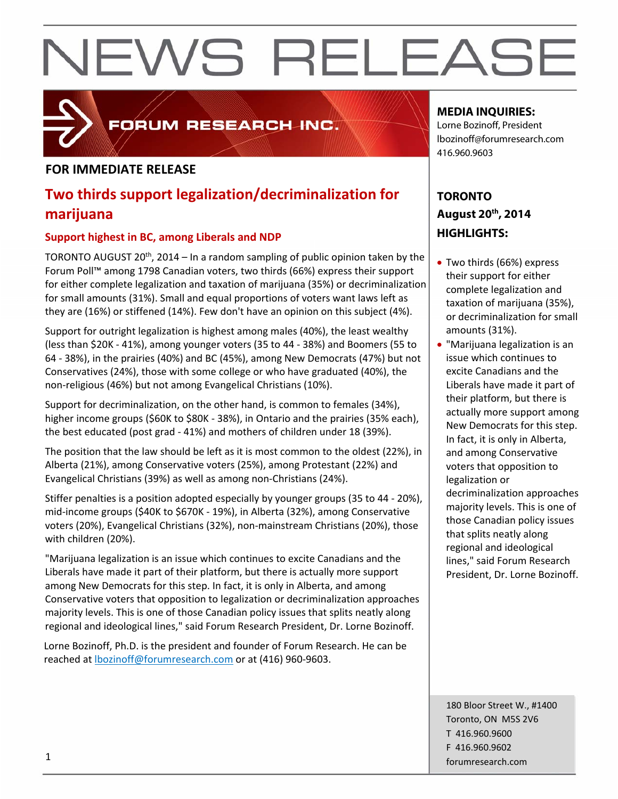### **FOR IMMEDIATE RELEASE**

## **Two thirds support legalization/decriminalization for marijuana**

FORUM RESEARCH INC.

#### **Support highest in BC, among Liberals and NDP**

TORONTO AUGUST 20<sup>th</sup>, 2014 – In a random sampling of public opinion taken by the Forum Poll™ among 1798 Canadian voters, two thirds (66%) express their support for either complete legalization and taxation of marijuana (35%) or decriminalization for small amounts (31%). Small and equal proportions of voters want laws left as they are (16%) or stiffened (14%). Few don't have an opinion on this subject (4%).

Support for outright legalization is highest among males (40%), the least wealthy (less than \$20K ‐ 41%), among younger voters (35 to 44 ‐ 38%) and Boomers (55 to 64 ‐ 38%), in the prairies (40%) and BC (45%), among New Democrats (47%) but not Conservatives (24%), those with some college or who have graduated (40%), the non‐religious (46%) but not among Evangelical Christians (10%).

Support for decriminalization, on the other hand, is common to females (34%), higher income groups (\$60K to \$80K ‐ 38%), in Ontario and the prairies (35% each), the best educated (post grad ‐ 41%) and mothers of children under 18 (39%).

The position that the law should be left as it is most common to the oldest (22%), in Alberta (21%), among Conservative voters (25%), among Protestant (22%) and Evangelical Christians (39%) as well as among non‐Christians (24%).

Stiffer penalties is a position adopted especially by younger groups (35 to 44 ‐ 20%), mid‐income groups (\$40K to \$670K ‐ 19%), in Alberta (32%), among Conservative voters (20%), Evangelical Christians (32%), non‐mainstream Christians (20%), those with children (20%).

"Marijuana legalization is an issue which continues to excite Canadians and the Liberals have made it part of their platform, but there is actually more support among New Democrats for this step. In fact, it is only in Alberta, and among Conservative voters that opposition to legalization or decriminalization approaches majority levels. This is one of those Canadian policy issues that splits neatly along regional and ideological lines," said Forum Research President, Dr. Lorne Bozinoff.

Lorne Bozinoff, Ph.D. is the president and founder of Forum Research. He can be reached at lbozinoff@forumresearch.com or at (416) 960‐9603.

### **MEDIA INQUIRIES:**

Lorne Bozinoff, President lbozinoff@forumresearch.com 416.960.9603

## **TORONTO August 20th, 2014 HIGHLIGHTS:**

- Two thirds (66%) express their support for either complete legalization and taxation of marijuana (35%), or decriminalization for small amounts (31%).
- "Marijuana legalization is an issue which continues to excite Canadians and the Liberals have made it part of their platform, but there is actually more support among New Democrats for this step. In fact, it is only in Alberta, and among Conservative voters that opposition to legalization or decriminalization approaches majority levels. This is one of those Canadian policy issues that splits neatly along regional and ideological lines," said Forum Research President, Dr. Lorne Bozinoff.

180 Bloor Street W., #1400 Toronto, ON M5S 2V6 T 416.960.9600 F 416.960.9602 forumresearch.com 1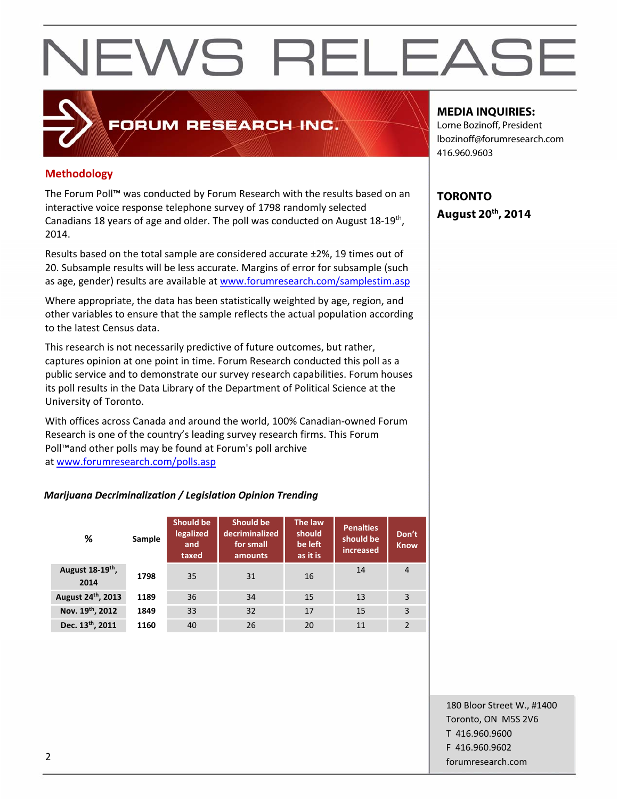## **Methodology**

The Forum Poll™ was conducted by Forum Research with the results based on an interactive voice response telephone survey of 1798 randomly selected Canadians 18 years of age and older. The poll was conducted on August 18‐19th, 2014.

FORUM RESEARCH INC.

Results based on the total sample are considered accurate ±2%, 19 times out of 20. Subsample results will be less accurate. Margins of error for subsample (such as age, gender) results are available at www.forumresearch.com/samplestim.asp

Where appropriate, the data has been statistically weighted by age, region, and other variables to ensure that the sample reflects the actual population according to the latest Census data.

This research is not necessarily predictive of future outcomes, but rather, captures opinion at one point in time. Forum Research conducted this poll as a public service and to demonstrate our survey research capabilities. Forum houses its poll results in the Data Library of the Department of Political Science at the University of Toronto.

With offices across Canada and around the world, 100% Canadian‐owned Forum Research is one of the country's leading survey research firms. This Forum Poll™and other polls may be found at Forum's poll archive at www.forumresearch.com/polls.asp

#### *Marijuana Decriminalization / Legislation Opinion Trending*

| %                       | Sample | Should be<br>legalized<br>and<br>taxed | Should be<br>decriminalized<br>for small<br>amounts | The law<br>should<br>be left<br>as it is | <b>Penalties</b><br>should be<br>increased | Don't<br><b>Know</b> |
|-------------------------|--------|----------------------------------------|-----------------------------------------------------|------------------------------------------|--------------------------------------------|----------------------|
| August 18-19th,<br>2014 | 1798   | 35                                     | 31                                                  | 16                                       | 14                                         | $\overline{4}$       |
| August 24th, 2013       | 1189   | 36                                     | 34                                                  | 15                                       | 13                                         | 3                    |
| Nov. 19th, 2012         | 1849   | 33                                     | 32                                                  | 17                                       | 15                                         | 3                    |
| Dec. 13th, 2011         | 1160   | 40                                     | 26                                                  | 20                                       | 11                                         | $\overline{2}$       |

### **MEDIA INQUIRIES:**

Lorne Bozinoff, President lbozinoff@forumresearch.com 416.960.9603

**TORONTO August 20th, 2014** 

180 Bloor Street W., #1400 Toronto, ON M5S 2V6 T 416.960.9600 F 416.960.9602 example to the contract of the contract of the contract of the contract of the contract of the contract of the contract of the contract of the contract of the contract of the contract of the contract of the contract of the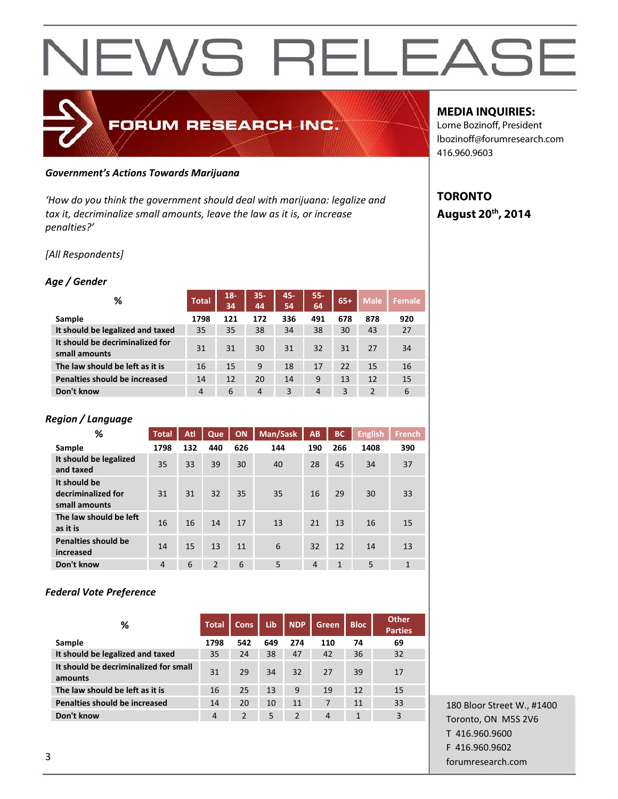## *Government's Actions Towards Marijuana*

*'How do you think the government should deal with marijuana: legalize and tax it, decriminalize small amounts, leave the law as it is, or increase penalties?'*

FORUM RESEARCH INC.

#### *[All Respondents]*

#### *Age / Gender*

| %                                                | <b>Total</b>   | $18 -$<br>34 | $35 -$<br>44   | 45-<br>54 | $55 -$<br>64   | $65+$ | <b>Male</b>    | Female |
|--------------------------------------------------|----------------|--------------|----------------|-----------|----------------|-------|----------------|--------|
| Sample                                           | 1798           | 121          | 172            | 336       | 491            | 678   | 878            | 920    |
| It should be legalized and taxed                 | 35             | 35           | 38             | 34        | 38             | 30    | 43             | 27     |
| It should be decriminalized for<br>small amounts | 31             | 31           | 30             | 31        | 32             | 31    | 27             | 34     |
| The law should be left as it is                  | 16             | 15           | 9              | 18        | 17             | 22    | 15             | 16     |
| Penalties should be increased                    | 14             | 12           | 20             | 14        | 9              | 13    | 12             | 15     |
| Don't know                                       | $\overline{4}$ | 6            | $\overline{4}$ | 3         | $\overline{4}$ | 3     | $\overline{2}$ | 6      |

#### *Region / Language*

| %                                                   | <b>Total</b>   | Atl | Que            | ON  | Man/Sask | AB             | <b>BC</b>    | <b>English</b> | <b>French</b> |
|-----------------------------------------------------|----------------|-----|----------------|-----|----------|----------------|--------------|----------------|---------------|
| Sample                                              | 1798           | 132 | 440            | 626 | 144      | 190            | 266          | 1408           | 390           |
| It should be legalized<br>and taxed                 | 35             | 33  | 39             | 30  | 40       | 28             | 45           | 34             | 37            |
| It should be<br>decriminalized for<br>small amounts | 31             | 31  | 32             | 35  | 35       | 16             | 29           | 30             | 33            |
| The law should be left<br>as it is                  | 16             | 16  | 14             | 17  | 13       | 21             | 13           | 16             | 15            |
| <b>Penalties should be</b><br>increased             | 14             | 15  | 13             | 11  | 6        | 32             | 12           | 14             | 13            |
| Don't know                                          | $\overline{4}$ | 6   | $\overline{2}$ | 6   | 5        | $\overline{4}$ | $\mathbf{1}$ | 5              | $\mathbf{1}$  |

#### *Federal Vote Preference*

| ℅                                                | <b>Total</b>   | <b>Cons</b> | Lib | <b>NDP</b>     | Green | <b>Bloc</b> | <b>Other</b><br><b>Parties</b> |
|--------------------------------------------------|----------------|-------------|-----|----------------|-------|-------------|--------------------------------|
| Sample                                           | 1798           | 542         | 649 | 274            | 110   | 74          | 69                             |
| It should be legalized and taxed                 | 35             | 24          | 38  | 47             | 42    | 36          | 32                             |
| It should be decriminalized for small<br>amounts | 31             | 29          | 34  | 32             | 27    | 39          | 17                             |
| The law should be left as it is                  | 16             | 25          | 13  | 9              | 19    | 12          | 15                             |
| Penalties should be increased                    | 14             | 20          | 10  | 11             | 7     | 11          | 33                             |
| Don't know                                       | $\overline{4}$ | 2           | 5   | $\mathfrak{p}$ | 4     | 1           | 3                              |

180 Bloor Street W., #1400 Toronto, ON M5S 2V6 T 416.960.9600 F 416.960.9602 **forumresearch.com 3** 

#### **MEDIA INQUIRIES:**

Lorne Bozinoff, President lbozinoff@forumresearch.com 416.960.9603

### **TORONTO August 20th, 2014**